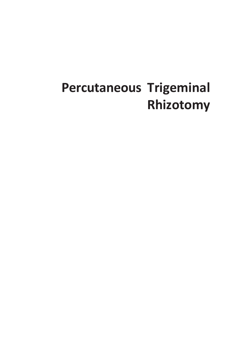# **Percutaneous Trigeminal Rhizotomy**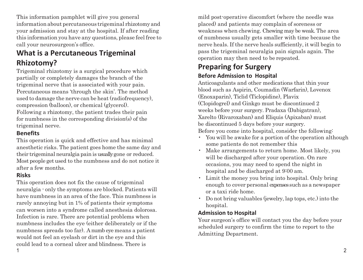This information pamphlet will give you general information about percutaneous trigeminal rhizotomyand your admission and stay at the hospital. If after reading this information you have any questions, please feel free to call your neurosurgeon's office.

# **What is a Percutaneous Trigeminal Rhizotomy?**

Trigeminal rhizotomy is a surgical procedure which partially or completely damages the branch of the trigeminal nerve that is associated with your pain. Percutaneous means 'through the skin'. The method used to damage the nerve can be heat (radiofrequency), compression (balloon), or chemical (glycerol). Following a rhizotomy, the patient trades their pain for numbness in the corresponding division(s) of the trigeminal nerve.

### **Benefits**

This operation is quick and effective and has minimal anesthetic risks. The patient goes home the same day and their trigeminal neuralgia pain is usually gone or reduced. Most people get used to the numbness and do not notice it after a few months.

#### **Risks**

This operation does not fix the cause of trigeminal neuralgia - only the symptoms are blocked. Patients will have numbness in an area of the face. This numbness is rarely annoying but in 1% of patients their symptoms can worsen into a syndrome called anesthesia dolorosa. Infection is rare. There are potential problems when numbness includes the eye (either deliberately or if the numbness spreads too far). A numb eye means a patient would not feel an eyelash or dirt in the eye and this could lead to a corneal ulcer and blindness. There is  $1$ 

mild post-operative discomfort (where the needle was placed) and patients may complain of soreness or weakness when chewing. Chewing may be weak. The area of numbness usually gets smaller with time because the nerve heals. If the nerve heals sufficiently, it will begin to pass the trigeminal neuralgia pain signals again. The operation may then need to be repeated.

### **Preparing for Surgery Before Admission to Hospital**

Anticoagulants and other medications that thin your blood such as Aspirin, Coumadin (Warfarin), Lovenox (Enoxaparin), Ticlid (Ticlopidine), Plavix (Clopidogrel) and Ginkgo must be discontinued 2 weeks before your surgery. Pradaxa (Dabigatran), Xarelto (Rivaroxaban) and Eliquis (Apixaban) must be discontinued 5 days before your surgery. Before you come into hospital, consider the following:

- You will be awake for a portion of the operation although some patients do not remember this
- Make arrangements to return home. Most likely, you will be discharged after your operation. On rare occasions, you may need to spend the night in hospital and be discharged at 9:00 am.
- Limit the money you bring into hospital. Only bring enough to cover personal expensessuch as a newspaper or a taxi ride home.
- Do not bring valuables (jewelry, lap tops, etc.) into the hospital.

### **Admission to Hospital**

Your surgeon's office will contact you the day before your scheduled surgery to confirm the time to report to the Admitting Department.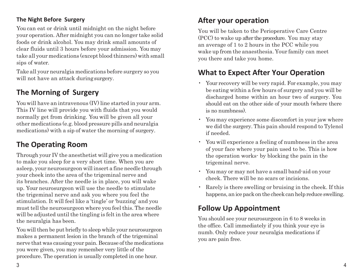### **The Night Before Surgery**

You can eat or drink until midnight on the night before your operation. After midnight you can no longer take solid foods or drink alcohol. You may drink small amounts of clear fluids until 3 hours before your admission. You may take all your medications (except blood thinners) with small sips of water.

Take all your neuralgia medications before surgery so you will not have an attack during surgery.

# **The Morning of Surgery**

You will have an intravenous  $(V)$  line started in your arm. This IV line will provide you with fluids that you would normally get from drinking. You will be given all your other medications (e.g. blood pressure pills and neuralgia medications) with a sip of water the morning of surgery.

# **The Operating Room**

Through your IV the anesthetist will give you a medication to make you sleep for a very short time. When you are asleep, your neurosurgeon will insert a fine needle through your cheek into the area of the trigeminal nerve and its branches. After the needle is in place, you will wake up. Your neurosurgeon will use the needle to stimulate the trigeminal nerve and ask you where you feel the stimulation. It will feel like a 'tingle' or 'buzzing' and you must tell the neurosurgeon where you feel this. The needle will be adjusted until the tingling is felt in the area where the neuralgia has been.

You will then be put briefly to sleep while your neurosurgeon makes a permanent lesion in the branch of the trigeminal nerve that was causing your pain. Because of the medications you were given, you may remember very little of the procedure. The operation is usually completed in one hour.

### **After your operation**

You will be taken to the Perioperative Care Centre (PCC) to wake up after the procedure. You may stay an average of 1 to 2 hours in the PCC while you wake up from the anaesthesia. Your family can meet you there and take you home.

### **What to Expect After Your Operation**

- Your recovery will be very rapid. For example, you may be eating within a few hours of surgery and you will be discharged home within an hour two of surgery. You should eat on the other side of your mouth (where there is no numbness).
- You may experience some discomfort in your jaw where we did the surgery. This pain should respond to Tylenol if needed.
- You will experience a feeling of numbness in the area of your face where your pain used to be. This is how the operation works- by blocking the pain in the trigeminal nerve.
- You may or may not have a small band-aid on your cheek. There will be no scars or incisions.
- Rarely is there swelling or bruising in the cheek. If this happens, an ice pack on the cheek can help reduce swelling.

# **Follow Up Appointment**

You should see your neurosurgeon in 6 to 8 weeks in the office. Call immediately if you think your eye is numb. Only reduce your neuralgia medications if you are pain free.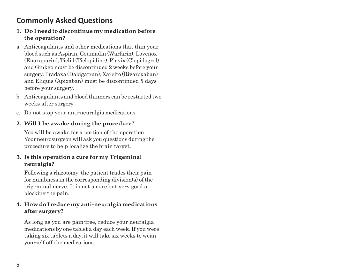### **Commonly Asked Questions**

#### **1. Do I need to discontinue my medication before the operation?**

- a. Anticoagulants and other medications that thin your blood such as Aspirin, Coumadin (Warfarin), Lovenox (Enoxaparin),Ticlid(Ticlopidine),Plavix (Clopidogrel) and Ginkgo must be discontinued 2 weeks before your surgery.Pradaxa (Dabigatran), Xarelto (Rivaroxaban) and Eliquis (Apixaban) must be discontinued 5 days before your surgery.
- b. Anticoagulants and blood thinners can be restarted two weeks after surgery.
- c. Do not stop your anti-neuralgia medications.

### **2. Will I be awake during the procedure?**

You will be awake for a portion of the operation. Yourneurosurgeon will ask you questions during the procedure to help localize the brain target.

### **3. Is this operation a cure for my Trigeminal neuralgia?**

Following a rhizotomy, the patient trades their pain for numbness in the corresponding division(s) of the trigeminal nerve. It is not a cure but very good at blocking the pain.

#### **4. How do Ireduce my anti-neuralgia medications after surgery?**

As long as you are pain-free, reduce your neuralgia medications by one tablet a day each week. If you were taking six tablets a day, it will take six weeks to wean yourself off the medications.